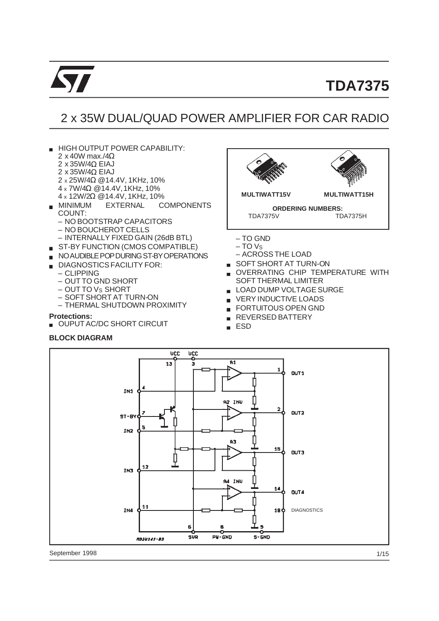

## 2 x 35W DUAL/QUAD POWER AMPLIFIER FOR CAR RADIO

- HIGH OUTPUT POWER CAPABILITY: 2 x 40W max./4Ω
	- 2 x 35W/4Ω EIAJ
	- 2 x 35W/4Ω EIAJ
	- 2 x 25W/4Ω @14.4V, 1KHz, 10%
	- 4 x 7W/4Ω @14.4V,1KHz, 10%
- 4 x 12W/2Ω @14.4V, 1KHz, 10%
- **COMPONENTS** COUNT:
	- NO BOOTSTRAP CAPACITORS
	- NO BOUCHEROT CELLS
- INTERNALLY FIXED GAIN (26dB BTL)
- ST-BY FUNCTION (CMOS COMPATIBLE)
- NO AUDIBLE POP DURING ST-BY OPERATIONS
- DIAGNOSTICS FACILITY FOR:
	- CLIPPING
	- OUT TO GND SHORT
	- OUT TO VS SHORT
	- SOFT SHORT AT TURN-ON
	- THERMAL SHUTDOWN PROXIMITY

**Protections:**

OUPUT AC/DC SHORT CIRCUIT

#### **BLOCK DIAGRAM**



- 
- OVERRATING CHIP TEMPERATURE WITH SOFT THERMAL LIMITER
- LOAD DUMP VOLTAGE SURGE
- **EXPLOADS**
- **FORTUITOUS OPEN GND**
- **REVERSED BATTERY**
- ESD  $\blacksquare$



September 1998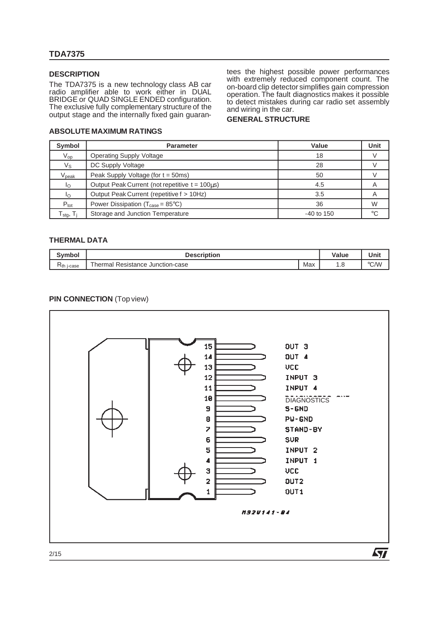#### **DESCRIPTION**

The TDA7375 is a new technology class AB car radio amplifier able to work either in DUAL BRIDGE or QUAD SINGLE ENDED configuration. The exclusive fully complementary structure of the output stage and the internally fixed gain guarantees the highest possible power performances with extremely reduced component count. The on-board clip detector simplifies gain compression operation. The fault diagnostics makes it possible to detect mistakes during car radio set assembly and wiring in the car.

#### **GENERAL STRUCTURE**

#### **ABSOLUTE MAXIMUM RATINGS**

| Symbol                                     | <b>Parameter</b>                                              | Value        | Unit |
|--------------------------------------------|---------------------------------------------------------------|--------------|------|
| $V_{op}$                                   | <b>Operating Supply Voltage</b>                               | 18           |      |
| Vs                                         | DC Supply Voltage                                             | 28           |      |
| $\mathsf{V}_{\mathsf{peak}}$               | Peak Supply Voltage (for $t = 50$ ms)                         | 50           |      |
| Ιo                                         | Output Peak Current (not repetitive $t = 100\mu s$ )          | 4.5          |      |
| I∩                                         | Output Peak Current (repetitive f > 10Hz)                     | 3.5          | Α    |
| $P_{\text{tot}}$                           | Power Dissipation ( $T_{\text{case}} = 85^{\circ} \text{C}$ ) | 36           | W    |
| $\Gamma_\text{stg},\, \mathsf{T}_\text{j}$ | Storage and Junction Temperature                              | $-40$ to 150 | °C   |

#### **THERMAL DATA**

| Svmbol          | <b>Description</b>                         | Value | Unit                |      |
|-----------------|--------------------------------------------|-------|---------------------|------|
| $R_{th}$ j-case | -<br>al Resistance Junction-case<br>hermal | Max   | $\cdot \cdot \circ$ | °C/W |

#### **PIN CONNECTION** (Top view)

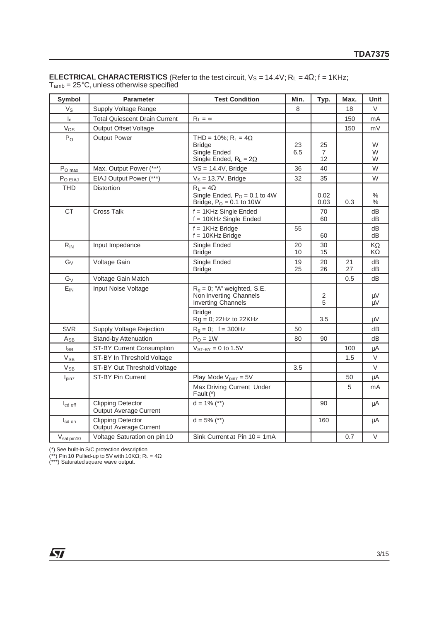| <b>Symbol</b>                              | <b>Parameter</b>                                          | <b>Test Condition</b>                                                                        | Min.      | Typ.                | Max.     | Unit        |
|--------------------------------------------|-----------------------------------------------------------|----------------------------------------------------------------------------------------------|-----------|---------------------|----------|-------------|
| $V_{\rm S}$                                | Supply Voltage Range                                      |                                                                                              | 8         |                     | 18       | $\vee$      |
| $I_d$                                      | <b>Total Quiescent Drain Current</b>                      | $R_L = \infty$                                                                               |           |                     | 150      | mA          |
| Vos                                        | <b>Output Offset Voltage</b>                              |                                                                                              |           |                     | 150      | mV          |
| $P_{O}$                                    | <b>Output Power</b>                                       | THD = 10%; $R_L = 4\Omega$<br><b>Bridge</b><br>Single Ended<br>Single Ended, $R_L = 2\Omega$ | 23<br>6.5 | 25<br>7<br>12       |          | W<br>W<br>W |
| $P_{O \frac{max}{max}}$                    | Max. Output Power (***)                                   | $VS = 14.4V$ , Bridge                                                                        | 36        | 40                  |          | W           |
| $P_{O EIAJ}$                               | EIAJ Output Power (***)                                   | $V_S = 13.7V$ , Bridge                                                                       | 32        | 35                  |          | W           |
| <b>THD</b>                                 | <b>Distortion</b>                                         | $R_L = 4\Omega$<br>Single Ended, $PO = 0.1$ to 4W<br>Bridge, $PO = 0.1$ to 10W               |           | 0.02<br>0.03        | 0.3      | %<br>$\%$   |
| <b>CT</b>                                  | <b>Cross Talk</b>                                         | $f = 1$ KHz Single Ended<br>f = 10KHz Single Ended                                           |           | 70<br>60            |          | dB<br>dВ    |
|                                            |                                                           | $f = 1$ KHz Bridge<br>$f = 10KHz$ Bridge                                                     | 55        | 60                  |          | dB<br>dB    |
| $R_{IN}$                                   | Input Impedance                                           | Single Ended<br><b>Bridge</b>                                                                | 20<br>10  | 30<br>15            |          | KΩ<br>KΩ    |
| $G_V$                                      | Voltage Gain                                              | Single Ended<br><b>Bridge</b>                                                                | 19<br>25  | 20<br>26            | 21<br>27 | dB<br>dB    |
| $G_V$                                      | Voltage Gain Match                                        |                                                                                              |           |                     | 0.5      | dB          |
| $E_{IN}$                                   | Input Noise Voltage                                       | $R_g = 0$ ; "A" weighted, S.E.<br>Non Inverting Channels<br><b>Inverting Channels</b>        |           | $\overline{c}$<br>5 |          | μV<br>μV    |
|                                            |                                                           | <b>Bridge</b><br>Rg = 0; 22Hz to 22KHz                                                       |           | 3.5                 |          | $\mu V$     |
| <b>SVR</b>                                 | Supply Voltage Rejection                                  | $R_g = 0$ ; $f = 300 Hz$                                                                     | 50        |                     |          | dB          |
| $A_{\underline{SB}}$                       | <b>Stand-by Attenuation</b>                               | $PO = 1W$                                                                                    | 80        | 90                  |          | dB          |
| $I_{SB}$                                   | ST-BY Current Consumption                                 | $V_{ST-BY} = 0$ to 1.5V                                                                      |           |                     | 100      | μA          |
| $V_{SB}$                                   | ST-BY In Threshold Voltage                                |                                                                                              |           |                     | 1.5      | $\vee$      |
| $\ensuremath{\mathsf{V}}\xspace_\text{SB}$ | ST-BY Out Threshold Voltage                               |                                                                                              | 3.5       |                     |          | $\vee$      |
| $I_{pin7}$                                 | <b>ST-BY Pin Current</b>                                  | Play Mode $V_{pin7} = 5V$                                                                    |           |                     | 50       | μA          |
|                                            |                                                           | Max Driving Current Under<br>Fault (*)                                                       |           |                     | 5        | mA          |
| $I_{\text{cd off}}$                        | <b>Clipping Detector</b><br><b>Output Average Current</b> | $d = 1\%$ (**)                                                                               |           | 90                  |          | μA          |
| I <sub>cd</sub> on                         | <b>Clipping Detector</b><br>Output Average Current        | $d = 5\%$ (**)                                                                               |           | 160                 |          | μA          |
| V <sub>sat pin10</sub>                     | Voltage Saturation on pin 10                              | Sink Current at Pin $10 = 1mA$                                                               |           |                     | 0.7      | V           |

**ELECTRICAL CHARACTERISTICS** (Refer to the test circuit, V<sub>S</sub> = 14.4V; R<sub>L</sub> = 4Ω; f = 1KHz;  $T_{\text{amb}}$  = 25°C, unless otherwise specified

(\*) See built-in S/C protection description

(\*\*) Pin 10 Pulled-up to 5V with 10KΩ; R<sub>L</sub> =  $4\Omega$ 

(\*\*\*) Saturated square wave output.

57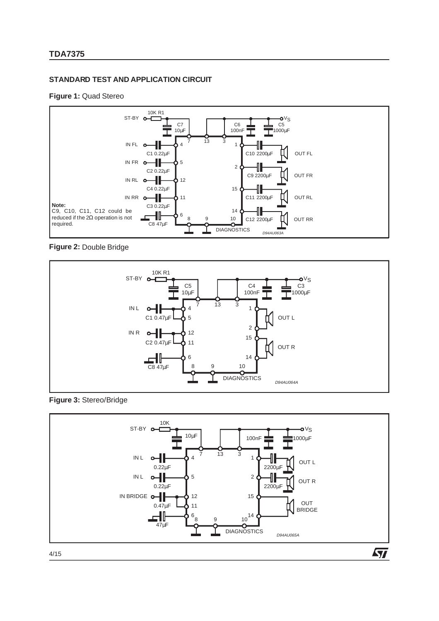## **STANDARD TEST AND APPLICATION CIRCUIT**

#### **Figure 1:** Quad Stereo



#### **Figure 2:** Double Bridge



#### **Figure 3:** Stereo/Bridge



4/15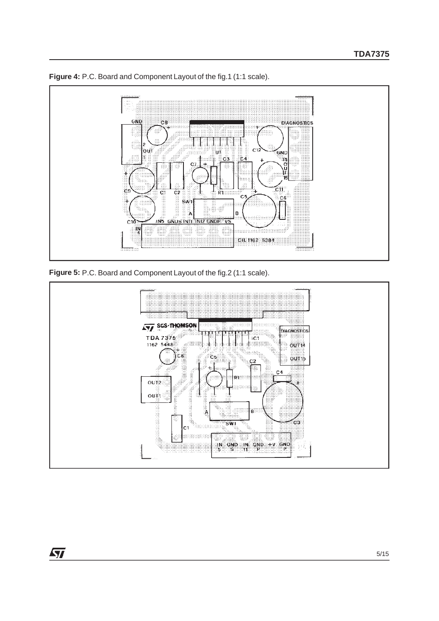

**Figure 4:** P.C. Board and Component Layout of the fig.1 (1:1 scale).





57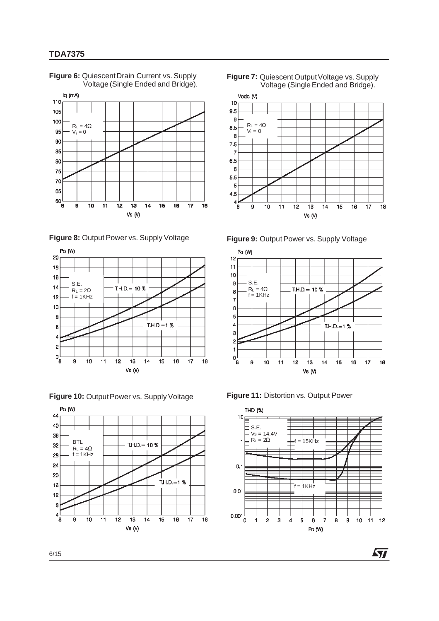

**Figure 6:** QuiescentDrain Current vs. Supply Voltage (Single Ended and Bridge).

**Figure 8:** Output Power vs. Supply Voltage



**Figure 10: Output Power vs. Supply Voltage** 















勾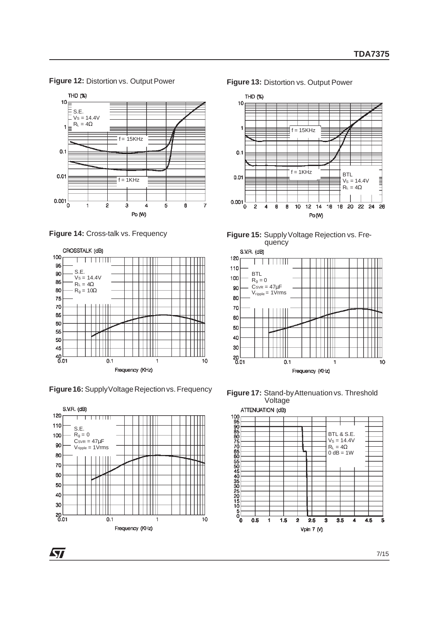

**Figure 12:** Distortion vs. Output Power





Figure 16: Supply Voltage Rejection vs. Frequency















*ST*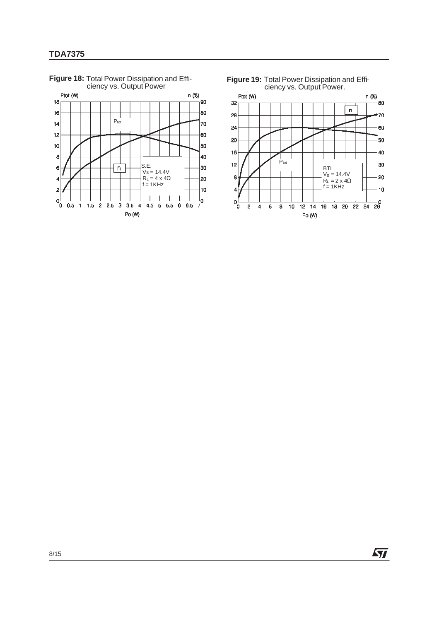

ciency vs. Output Power **Figure 19:** Total Power Dissipation and Effi-ciency vs. Output Power.



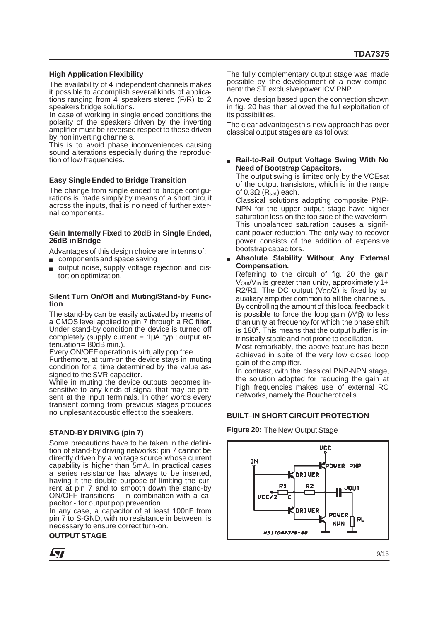#### **High Application Flexibility**

The availability of 4 independent channels makes it possible to accomplish several kinds of applications ranging from 4 speakers stereo (F/R) to 2 speakers bridge solutions.

In case of working in single ended conditions the polarity of the speakers driven by the inverting amplifier must be reversed respect to those driven by non inverting channels.

This is to avoid phase inconveniences causing sound alterations especially during the reproduction of low frequencies.

#### **Easy Single Ended to Bridge Transition**

The change from single ended to bridge configurations is made simply by means of a short circuit across the inputs, that is no need of further external components.

#### **Gain Internally Fixed to 20dB in Single Ended, 26dB in Bridge**

Advantages of this design choice are in terms of:

- components and space saving
- output noise, supply voltage rejection and distortion optimization.

#### **Silent Turn On/Off and Muting/Stand-by Function**

The stand-by can be easily activated by means of a CMOS level applied to pin 7 through a RC filter. Under stand-by condition the device is turned off completely (supply current  $= 1\mu A$  typ.; output attenuation= 80dB min.).

Every ON/OFF operation is virtually pop free.

Furthemore, at turn-on the device stays in muting condition for a time determined by the value assigned to the SVR capacitor.

While in muting the device outputs becomes insensitive to any kinds of signal that may be present at the input terminals. In other words every transient coming from previous stages produces no unplesantacoustic effect to the speakers.

#### **STAND-BY DRIVING (pin 7)**

Some precautions have to be taken in the definition of stand-by driving networks: pin 7 cannot be directly driven by a voltage source whose current capability is higher than 5mA. In practical cases a series resistance has always to be inserted, having it the double purpose of limiting the current at pin 7 and to smooth down the stand-by ON/OFF transitions - in combination with a capacitor - for output pop prevention.

In any case, a capacitor of at least 100nF from pin 7 to S-GND, with no resistance in between, is necessary to ensure correct turn-on.

### **OUTPUT STAGE**



The fully complementary output stage was made possible by the development of a new component: the ST exclusive power ICV PNP.

A novel design based upon the connection shown in fig. 20 has then allowed the full exploitation of its possibilities.

The clear advantagesthis new approach has over classical output stages are as follows:

**Rail-to-Rail Output Voltage Swing With No Need of Bootstrap Capacitors.**

The output swing is limited only by the VCEsat of the output transistors, which is in the range of  $0.3Ω$  (Rsat) each.

Classical solutions adopting composite PNP-NPN for the upper output stage have higher saturation loss on the top side of the waveform. This unbalanced saturation causes a significant power reduction. The only way to recover power consists of the addition of expensive bootstrap capacitors.

**Absolute Stability Without Any External Compensation.**

Referring to the circuit of fig. 20 the gain  $V_{\text{Out}}/V_{\text{In}}$  is greater than unity, approximately 1+ R2/R1. The DC output  $(V_{CC}/2)$  is fixed by an auxiliary amplifier common to all the channels. By controlling the amount of this local feedbackit is possible to force the loop gain (A\*β) to less than unity at frequency for which the phase shift

is 180°. This means that the output buffer is intrinsically stableand not prone to oscillation. Most remarkably, the above feature has been

achieved in spite of the very low closed loop gain of the amplifier.

In contrast, with the classical PNP-NPN stage, the solution adopted for reducing the gain at high frequencies makes use of external RC networks, namely the Boucherot cells.

#### **BUILT–IN SHORT CIRCUIT PROTECTION**

**Figure 20:** The New Output Stage

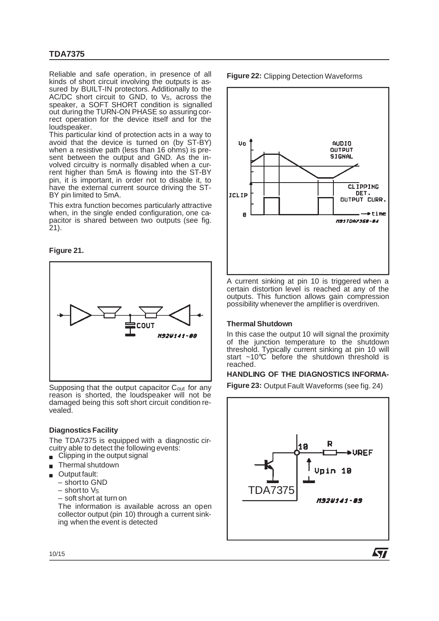Reliable and safe operation, in presence of all kinds of short circuit involving the outputs is assured by BUILT-IN protectors. Additionally to the AC/DC short circuit to GND, to V<sub>S</sub>, across the speaker, a SOFT SHORT condition is signalled out during the TURN-ON PHASE so assuring correct operation for the device itself and for the loudspeaker.

This particular kind of protection acts in a way to avoid that the device is turned on (by ST-BY) when a resistive path (less than 16 ohms) is present between the output and GND. As the involved circuitry is normally disabled when a current higher than 5mA is flowing into the ST-BY pin, it is important, in order not to disable it, to have the external current source driving the ST-BY pin limited to 5mA.

This extra function becomes particularly attractive when, in the single ended configuration, one capacitor is shared between two outputs (see fig. 21).





Supposing that the output capacitor C<sub>out</sub> for any reason is shorted, the loudspeaker will not be damaged being this soft short circuit condition revealed.

#### **Diagnostics Facility**

The TDA7375 is equipped with a diagnostic circuitry able to detect the following events:

- $\Box$  Clipping in the output signal
- Thermal shutdown
- **Output fault:** 
	- shortto GND
	- $-$  short to  $Vs$
	- soft short at turn on

The information is available across an open collector output (pin 10) through a current sinking when the event is detected

**Figure 22:** Clipping Detection Waveforms



A current sinking at pin 10 is triggered when a certain distortion level is reached at any of the outputs. This function allows gain compression possibility whenever the amplifier is overdriven.

#### **Thermal Shutdown**

In this case the output 10 will signal the proximity of the junction temperature to the shutdown threshold. Typically current sinking at pin 10 will start ~10°C before the shutdown threshold is reached.

#### **HANDLING OF THE DIAGNOSTICS INFORMA-**

**Figure 23:** Output Fault Waveforms (see fig. 24)



47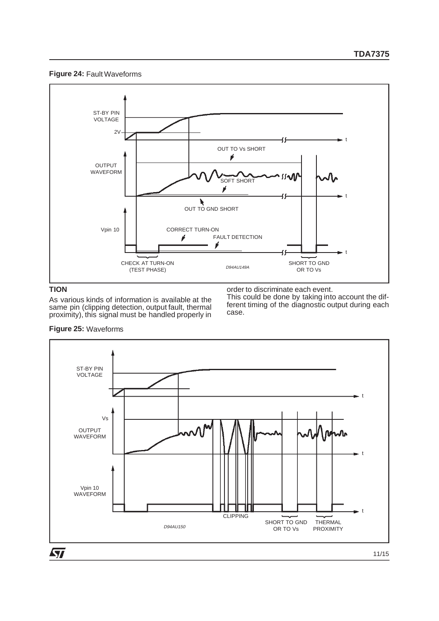



## **TION**

As various kinds of information is available at the same pin (clipping detection, output fault, thermal proximity), this signal must be handled properly in order to discriminate each event.

This could be done by taking into account the different timing of the diagnostic output during each case.

**Figure 25:** Waveforms

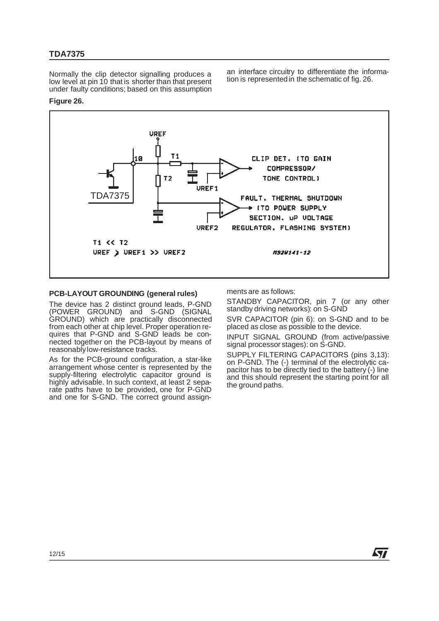Normally the clip detector signalling produces a low level at pin 10 that is shorter than that present under faulty conditions; based on this assumption

an interface circuitry to differentiate the information is represented in the schematic of fig. 26.

#### **Figure 26.**



#### **PCB-LAYOUT GROUNDING (general rules)**

The device has 2 distinct ground leads, P-GND (POWER GROUND) and S-GND (SIGNAL GROUND) which are practically disconnected from each other at chip level. Proper operation requires that P-GND and S-GND leads be connected together on the PCB-layout by means of reasonablylow-resistance tracks.

As for the PCB-ground configuration, a star-like arrangement whose center is represented by the supply-filtering electrolytic capacitor ground is highly advisable. In such context, at least 2 separate paths have to be provided, one for P-GND and one for S-GND. The correct ground assignments are as follows:

STANDBY CAPACITOR, pin 7 (or any other standby driving networks): on S-GND

SVR CAPACITOR (pin 6): on S-GND and to be placed as close as possible to the device.

INPUT SIGNAL GROUND (from active/passive signal processor stages): on S-GND.

SUPPLY FILTERING CAPACITORS (pins 3,13): on P-GND. The (-) terminal of the electrolytic capacitor has to be directly tied to the battery (-) line and this should represent the starting point for all the ground paths.

47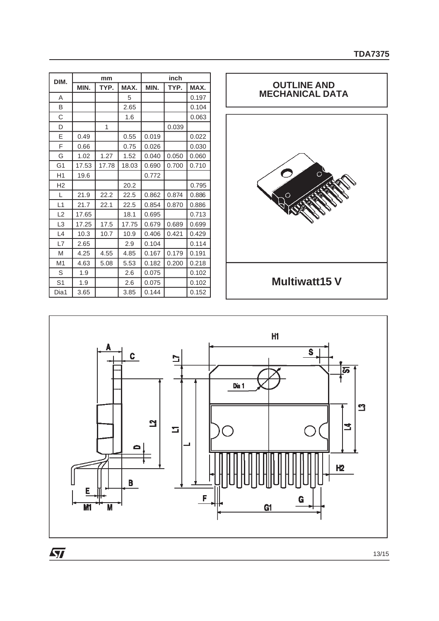| DIM.           | mm    |       |       | inch  |       |       |  |
|----------------|-------|-------|-------|-------|-------|-------|--|
|                | MIN.  | TYP.  | MAX.  | MIN.  | TYP.  | MAX.  |  |
| A              |       |       | 5     |       |       | 0.197 |  |
| B              |       |       | 2.65  |       |       | 0.104 |  |
| C              |       |       | 1.6   |       |       | 0.063 |  |
| D              |       | 1     |       |       | 0.039 |       |  |
| E              | 0.49  |       | 0.55  | 0.019 |       | 0.022 |  |
| F              | 0.66  |       | 0.75  | 0.026 |       | 0.030 |  |
| G              | 1.02  | 1.27  | 1.52  | 0.040 | 0.050 | 0.060 |  |
| G <sub>1</sub> | 17.53 | 17.78 | 18.03 | 0.690 | 0.700 | 0.710 |  |
| H1             | 19.6  |       |       | 0.772 |       |       |  |
| H <sub>2</sub> |       |       | 20.2  |       |       | 0.795 |  |
| L              | 21.9  | 22.2  | 22.5  | 0.862 | 0.874 | 0.886 |  |
| L1             | 21.7  | 22.1  | 22.5  | 0.854 | 0.870 | 0.886 |  |
| L2             | 17.65 |       | 18.1  | 0.695 |       | 0.713 |  |
| L3             | 17.25 | 17.5  | 17.75 | 0.679 | 0.689 | 0.699 |  |
| L4             | 10.3  | 10.7  | 10.9  | 0.406 | 0.421 | 0.429 |  |
| L7             | 2.65  |       | 2.9   | 0.104 |       | 0.114 |  |
| M              | 4.25  | 4.55  | 4.85  | 0.167 | 0.179 | 0.191 |  |
| M <sub>1</sub> | 4.63  | 5.08  | 5.53  | 0.182 | 0.200 | 0.218 |  |
| S              | 1.9   |       | 2.6   | 0.075 |       | 0.102 |  |
| S <sub>1</sub> | 1.9   |       | 2.6   | 0.075 |       | 0.102 |  |
| Dia1           | 3.65  |       | 3.85  | 0.144 |       | 0.152 |  |





 $\overline{\mathbf{H}}$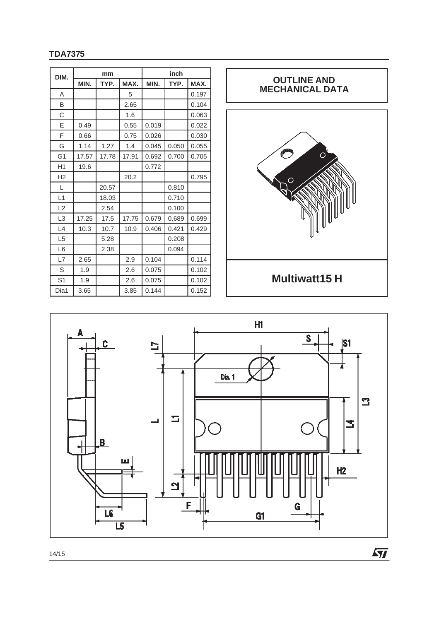| DIM.           | mm    |       |       | inch  |       |       |  |
|----------------|-------|-------|-------|-------|-------|-------|--|
|                | MIN.  | TYP.  | MAX.  | MIN.  | TYP.  | MAX.  |  |
| A              |       |       | 5     |       |       | 0.197 |  |
| B              |       |       | 2.65  |       |       | 0.104 |  |
| С              |       |       | 1.6   |       |       | 0.063 |  |
| Ε              | 0.49  |       | 0.55  | 0.019 |       | 0.022 |  |
| F              | 0.66  |       | 0.75  | 0.026 |       | 0.030 |  |
| G              | 1.14  | 1.27  | 1.4   | 0.045 | 0.050 | 0.055 |  |
| G1             | 17.57 | 17.78 | 17.91 | 0.692 | 0.700 | 0.705 |  |
| H1             | 19.6  |       |       | 0.772 |       |       |  |
| H2             |       |       | 20.2  |       |       | 0.795 |  |
| I.             |       | 20.57 |       |       | 0.810 |       |  |
| L1             |       | 18.03 |       |       | 0.710 |       |  |
| L2             |       | 2.54  |       |       | 0.100 |       |  |
| L <sub>3</sub> | 17.25 | 17.5  | 17.75 | 0.679 | 0.689 | 0.699 |  |
| L4             | 10.3  | 10.7  | 10.9  | 0.406 | 0.421 | 0.429 |  |
| L <sub>5</sub> |       | 5.28  |       |       | 0.208 |       |  |
| L6             |       | 2.38  |       |       | 0.094 |       |  |
| L7             | 2.65  |       | 2.9   | 0.104 |       | 0.114 |  |
| S              | 1.9   |       | 2.6   | 0.075 |       | 0.102 |  |
| S <sub>1</sub> | 1.9   |       | 2.6   | 0.075 |       | 0.102 |  |
| Dia1           | 3.65  |       | 3.85  | 0.144 |       | 0.152 |  |





 $\sqrt{M}$